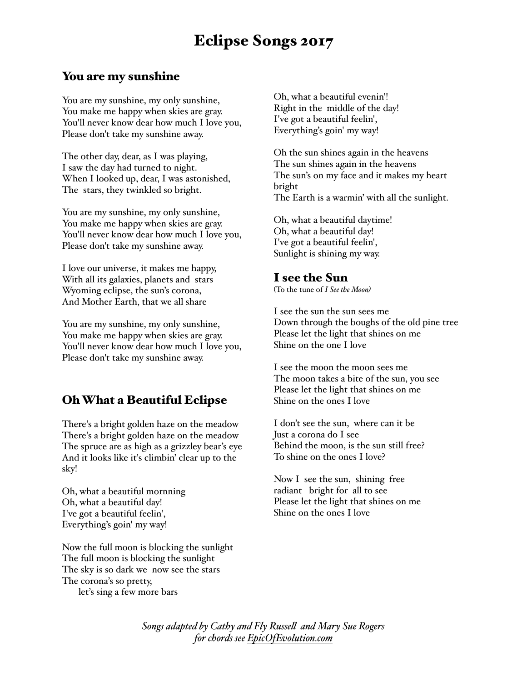# Eclipse Songs 2017

#### You are my sunshine

You are my sunshine, my only sunshine, You make me happy when skies are gray. You'll never know dear how much I love you, Please don't take my sunshine away.

The other day, dear, as I was playing, I saw the day had turned to night. When I looked up, dear, I was astonished, The stars, they twinkled so bright.

You are my sunshine, my only sunshine, You make me happy when skies are gray. You'll never know dear how much I love you, Please don't take my sunshine away.

I love our universe, it makes me happy, With all its galaxies, planets and stars Wyoming eclipse, the sun's corona, And Mother Earth, that we all share

You are my sunshine, my only sunshine, You make me happy when skies are gray. You'll never know dear how much I love you, Please don't take my sunshine away.

## Oh What a Beautiful Eclipse

There's a bright golden haze on the meadow There's a bright golden haze on the meadow The spruce are as high as a grizzley bear's eye And it looks like it's climbin' clear up to the sky!

Oh, what a beautiful mornning Oh, what a beautiful day! I've got a beautiful feelin', Everything's goin' my way!

Now the full moon is blocking the sunlight The full moon is blocking the sunlight The sky is so dark we now see the stars The corona's so pretty, let's sing a few more bars

Oh, what a beautiful evenin'! Right in the middle of the day! I've got a beautiful feelin', Everything's goin' my way!

Oh the sun shines again in the heavens The sun shines again in the heavens The sun's on my face and it makes my heart bright The Earth is a warmin' with all the sunlight.

Oh, what a beautiful daytime! Oh, what a beautiful day! I've got a beautiful feelin', Sunlight is shining my way.

#### I see the Sun

(To the tune of *I See the Moon)*

I see the sun the sun sees me Down through the boughs of the old pine tree Please let the light that shines on me Shine on the one I love

I see the moon the moon sees me The moon takes a bite of the sun, you see Please let the light that shines on me Shine on the ones I love

I don't see the sun, where can it be Just a corona do I see Behind the moon, is the sun still free? To shine on the ones I love?

Now I see the sun, shining free radiant bright for all to see Please let the light that shines on me Shine on the ones I love

*Songs adapted by Cathy and Fly Russel and Mary Sue Rogers for chords see [EpicOfEvolution.com](http://epicofevolution.com)*